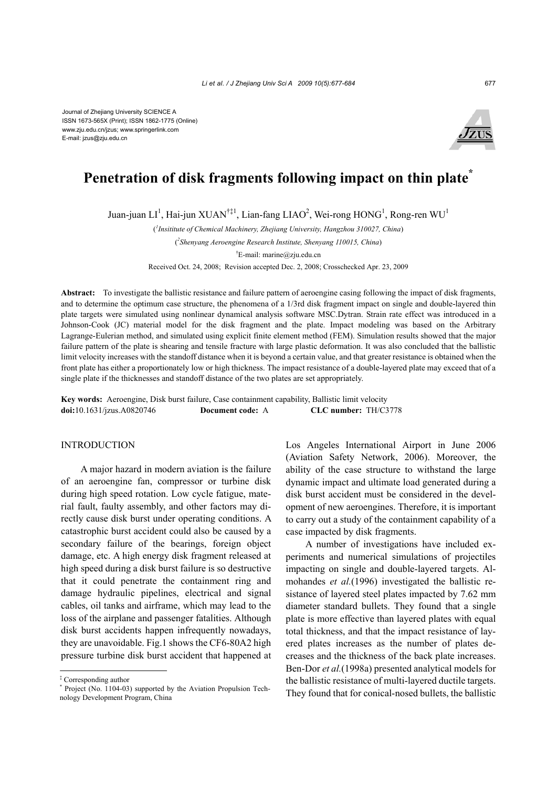

# **Penetration of disk fragments following impact on thin plate\***

Juan-juan LI<sup>1</sup>, Hai-jun XUAN<sup>†‡1</sup>, Lian-fang LIAO<sup>2</sup>, Wei-rong HONG<sup>1</sup>, Rong-ren WU<sup>1</sup>

( *1 Insititute of Chemical Machinery, Zhejiang University, Hangzhou 310027, China*) ( *2 Shenyang Aeroengine Research Institute, Shenyang 110015, China*)

† E-mail: marine@zju.edu.cn

Received Oct. 24, 2008; Revision accepted Dec. 2, 2008; Crosschecked Apr. 23, 2009

**Abstract:** To investigate the ballistic resistance and failure pattern of aeroengine casing following the impact of disk fragments, and to determine the optimum case structure, the phenomena of a 1/3rd disk fragment impact on single and double-layered thin plate targets were simulated using nonlinear dynamical analysis software MSC.Dytran. Strain rate effect was introduced in a Johnson-Cook (JC) material model for the disk fragment and the plate. Impact modeling was based on the Arbitrary Lagrange-Eulerian method, and simulated using explicit finite element method (FEM). Simulation results showed that the major failure pattern of the plate is shearing and tensile fracture with large plastic deformation. It was also concluded that the ballistic limit velocity increases with the standoff distance when it is beyond a certain value, and that greater resistance is obtained when the front plate has either a proportionately low or high thickness. The impact resistance of a double-layered plate may exceed that of a single plate if the thicknesses and standoff distance of the two plates are set appropriately.

**Key words:** Aeroengine, Disk burst failure, Case containment capability, Ballistic limit velocity **doi:**10.1631/jzus.A0820746 **Document code:** A **CLC number:** TH/C3778

# **INTRODUCTION**

A major hazard in modern aviation is the failure of an aeroengine fan, compressor or turbine disk during high speed rotation. Low cycle fatigue, material fault, faulty assembly, and other factors may directly cause disk burst under operating conditions. A catastrophic burst accident could also be caused by a secondary failure of the bearings, foreign object damage, etc. A high energy disk fragment released at high speed during a disk burst failure is so destructive that it could penetrate the containment ring and damage hydraulic pipelines, electrical and signal cables, oil tanks and airframe, which may lead to the loss of the airplane and passenger fatalities. Although disk burst accidents happen infrequently nowadays, they are unavoidable. Fig.1 shows the CF6-80A2 high pressure turbine disk burst accident that happened at

Los Angeles International Airport in June 2006 (Aviation Safety Network, 2006). Moreover, the ability of the case structure to withstand the large dynamic impact and ultimate load generated during a disk burst accident must be considered in the development of new aeroengines. Therefore, it is important to carry out a study of the containment capability of a case impacted by disk fragments.

A number of investigations have included experiments and numerical simulations of projectiles impacting on single and double-layered targets. Almohandes *et al.*(1996) investigated the ballistic resistance of layered steel plates impacted by 7.62 mm diameter standard bullets. They found that a single plate is more effective than layered plates with equal total thickness, and that the impact resistance of layered plates increases as the number of plates decreases and the thickness of the back plate increases. Ben-Dor *et al.*(1998a) presented analytical models for the ballistic resistance of multi-layered ductile targets. They found that for conical-nosed bullets, the ballistic

<sup>‡</sup> Corresponding author

<sup>\*</sup> Project (No. 1104-03) supported by the Aviation Propulsion Technology Development Program, China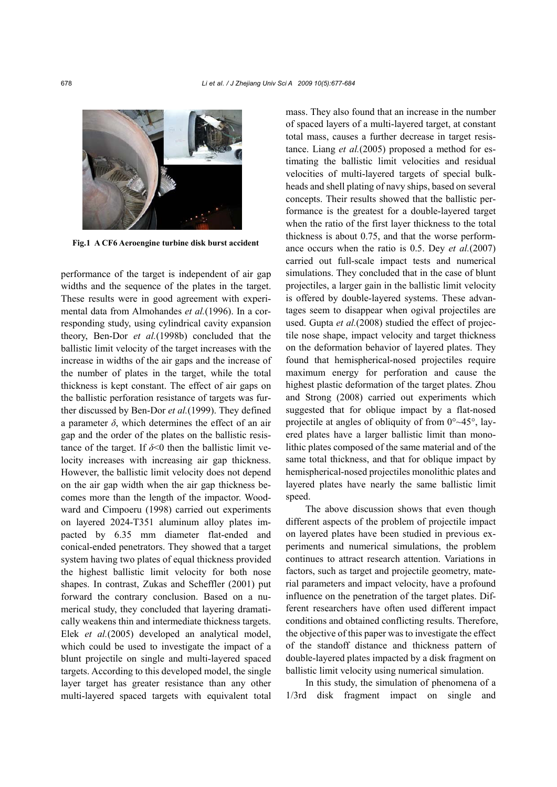

**Fig.1 A CF6 Aeroengine turbine disk burst accident**

performance of the target is independent of air gap widths and the sequence of the plates in the target. These results were in good agreement with experimental data from Almohandes *et al.*(1996). In a corresponding study, using cylindrical cavity expansion theory, Ben-Dor *et al.*(1998b) concluded that the ballistic limit velocity of the target increases with the increase in widths of the air gaps and the increase of the number of plates in the target, while the total thickness is kept constant. The effect of air gaps on the ballistic perforation resistance of targets was further discussed by Ben-Dor *et al.*(1999). They defined a parameter  $\delta$ , which determines the effect of an air gap and the order of the plates on the ballistic resistance of the target. If  $\delta$ <0 then the ballistic limit velocity increases with increasing air gap thickness. However, the ballistic limit velocity does not depend on the air gap width when the air gap thickness becomes more than the length of the impactor. Woodward and Cimpoeru (1998) carried out experiments on layered 2024-T351 aluminum alloy plates impacted by 6.35 mm diameter flat-ended and conical-ended penetrators. They showed that a target system having two plates of equal thickness provided the highest ballistic limit velocity for both nose shapes. In contrast, Zukas and Scheffler (2001) put forward the contrary conclusion. Based on a numerical study, they concluded that layering dramatically weakens thin and intermediate thickness targets. Elek *et al.*(2005) developed an analytical model, which could be used to investigate the impact of a blunt projectile on single and multi-layered spaced targets. According to this developed model, the single layer target has greater resistance than any other multi-layered spaced targets with equivalent total mass. They also found that an increase in the number of spaced layers of a multi-layered target, at constant total mass, causes a further decrease in target resistance. Liang *et al.*(2005) proposed a method for estimating the ballistic limit velocities and residual velocities of multi-layered targets of special bulkheads and shell plating of navy ships, based on several concepts. Their results showed that the ballistic performance is the greatest for a double-layered target when the ratio of the first layer thickness to the total thickness is about 0.75, and that the worse performance occurs when the ratio is 0.5. Dey *et al.*(2007) carried out full-scale impact tests and numerical simulations. They concluded that in the case of blunt projectiles, a larger gain in the ballistic limit velocity is offered by double-layered systems. These advantages seem to disappear when ogival projectiles are used. Gupta *et al.*(2008) studied the effect of projectile nose shape, impact velocity and target thickness on the deformation behavior of layered plates. They found that hemispherical-nosed projectiles require maximum energy for perforation and cause the highest plastic deformation of the target plates. Zhou and Strong (2008) carried out experiments which suggested that for oblique impact by a flat-nosed projectile at angles of obliquity of from  $0^{\circ} \sim 45^{\circ}$ , layered plates have a larger ballistic limit than monolithic plates composed of the same material and of the same total thickness, and that for oblique impact by hemispherical-nosed projectiles monolithic plates and layered plates have nearly the same ballistic limit speed.

The above discussion shows that even though different aspects of the problem of projectile impact on layered plates have been studied in previous experiments and numerical simulations, the problem continues to attract research attention. Variations in factors, such as target and projectile geometry, material parameters and impact velocity, have a profound influence on the penetration of the target plates. Different researchers have often used different impact conditions and obtained conflicting results. Therefore, the objective of this paper was to investigate the effect of the standoff distance and thickness pattern of double-layered plates impacted by a disk fragment on ballistic limit velocity using numerical simulation.

In this study, the simulation of phenomena of a 1/3rd disk fragment impact on single and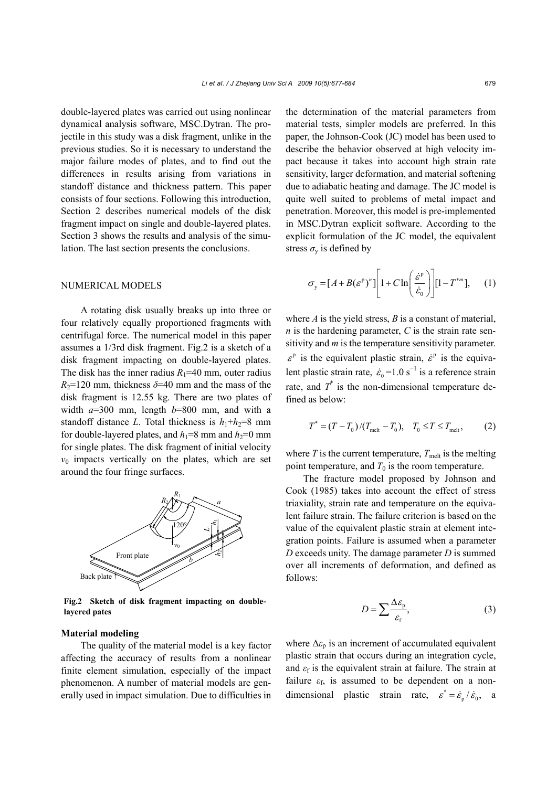double-layered plates was carried out using nonlinear dynamical analysis software, MSC.Dytran. The projectile in this study was a disk fragment, unlike in the previous studies. So it is necessary to understand the major failure modes of plates, and to find out the differences in results arising from variations in standoff distance and thickness pattern. This paper consists of four sections. Following this introduction, Section 2 describes numerical models of the disk fragment impact on single and double-layered plates. Section 3 shows the results and analysis of the simulation. The last section presents the conclusions.

#### NUMERICAL MODELS

A rotating disk usually breaks up into three or four relatively equally proportioned fragments with centrifugal force. The numerical model in this paper assumes a 1/3rd disk fragment. Fig.2 is a sketch of a disk fragment impacting on double-layered plates. The disk has the inner radius  $R_1$ =40 mm, outer radius  $R_2$ =120 mm, thickness  $\delta$ =40 mm and the mass of the disk fragment is 12.55 kg. There are two plates of width *a*=300 mm, length *b*=800 mm, and with a standoff distance *L*. Total thickness is  $h_1+h_2=8$  mm for double-layered plates, and  $h_1=8$  mm and  $h_2=0$  mm for single plates. The disk fragment of initial velocity  $v<sub>0</sub>$  impacts vertically on the plates, which are set around the four fringe surfaces.



**Fig.2 Sketch of disk fragment impacting on doublelayered pates** 

## **Material modeling**

The quality of the material model is a key factor affecting the accuracy of results from a nonlinear finite element simulation, especially of the impact phenomenon. A number of material models are generally used in impact simulation. Due to difficulties in the determination of the material parameters from material tests, simpler models are preferred. In this paper, the Johnson-Cook (JC) model has been used to describe the behavior observed at high velocity impact because it takes into account high strain rate sensitivity, larger deformation, and material softening due to adiabatic heating and damage. The JC model is quite well suited to problems of metal impact and penetration. Moreover, this model is pre-implemented in MSC.Dytran explicit software. According to the explicit formulation of the JC model, the equivalent stress  $\sigma_{\rm v}$  is defined by

$$
\sigma_{\mathbf{y}} = [A + B(\varepsilon^{\mathbf{p}})^n] \left[ 1 + C \ln \left( \frac{\dot{\varepsilon}^{\mathbf{p}}}{\dot{\varepsilon}_0} \right) \right] [1 - T^{*m}], \quad (1)
$$

where *A* is the yield stress, *B* is a constant of material, *n* is the hardening parameter, *C* is the strain rate sensitivity and *m* is the temperature sensitivity parameter.  $\varepsilon^p$  is the equivalent plastic strain,  $\dot{\varepsilon}^p$  is the equivalent plastic strain rate,  $\dot{\epsilon}_0 = 1.0 \text{ s}^{-1}$  is a reference strain rate, and  $T^*$  is the non-dimensional temperature defined as below:

$$
T^* = (T - T_0)/(T_{\text{melt}} - T_0), \quad T_0 \le T \le T_{\text{melt}}, \tag{2}
$$

where  $T$  is the current temperature,  $T_{\text{melt}}$  is the melting point temperature, and  $T_0$  is the room temperature.

The fracture model proposed by Johnson and Cook (1985) takes into account the effect of stress triaxiality, strain rate and temperature on the equivalent failure strain. The failure criterion is based on the value of the equivalent plastic strain at element integration points. Failure is assumed when a parameter *D* exceeds unity. The damage parameter *D* is summed over all increments of deformation, and defined as follows:

$$
D = \sum \frac{\Delta \varepsilon_{\rm p}}{\varepsilon_{\rm f}},\tag{3}
$$

where  $\Delta \varepsilon_p$  is an increment of accumulated equivalent plastic strain that occurs during an integration cycle, and  $\varepsilon_f$  is the equivalent strain at failure. The strain at failure  $\varepsilon_f$ , is assumed to be dependent on a nondimensional plastic strain rate,  $\varepsilon^* = \dot{\varepsilon}_{\text{p}} / \dot{\varepsilon}_0$ , a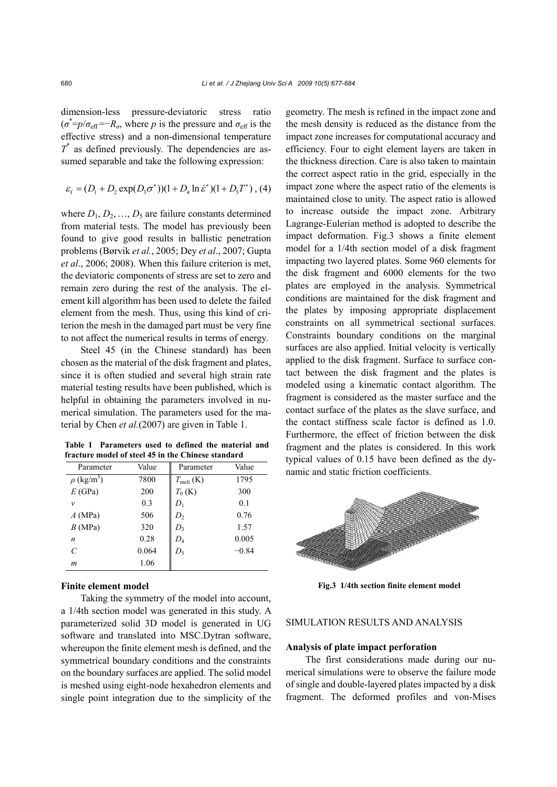dimension-less pressure-deviatoric stress ratio  $(\sigma^* = p/\sigma_{\text{eff}} = -R_{\sigma}$ , where *p* is the pressure and  $\sigma_{\text{eff}}$  is the effective stress) and a non-dimensional temperature  $T^*$  as defined previously. The dependencies are assumed separable and take the following expression:

$$
\varepsilon_{\rm f} = (D_{\rm l} + D_{\rm 2} \exp(D_{\rm 3} \sigma^*) (1 + D_{\rm 4} \ln \dot{\varepsilon}^*) (1 + D_{\rm 5} T^*)
$$
, (4)

where  $D_1, D_2, \ldots, D_5$  are failure constants determined from material tests. The model has previously been found to give good results in ballistic penetration problems (Børvik *et al.*, 2005; Dey *et al*., 2007; Gupta *et al*., 2006; 2008). When this failure criterion is met, the deviatoric components of stress are set to zero and remain zero during the rest of the analysis. The element kill algorithm has been used to delete the failed element from the mesh. Thus, using this kind of criterion the mesh in the damaged part must be very fine to not affect the numerical results in terms of energy.

Steel 45 (in the Chinese standard) has been chosen as the material of the disk fragment and plates, since it is often studied and several high strain rate material testing results have been published, which is helpful in obtaining the parameters involved in numerical simulation. The parameters used for the material by Chen *et al.*(2007) are given in Table 1.

**Table 1 Parameters used to defined the material and fracture model of steel 45 in the Chinese standard** 

| Parameter                   | Value | Parameter             | Value   |
|-----------------------------|-------|-----------------------|---------|
| $\rho$ (kg/m <sup>3</sup> ) | 7800  | $T_{\text{melt}}$ (K) | 1795    |
| E(GPa)                      | 200   | $T_0$ (K)             | 300     |
| v                           | 0.3   | $D_1$                 | 0.1     |
| A (MPa)                     | 506   | D <sub>2</sub>        | 0.76    |
| B(MPa)                      | 320   | $D_3$                 | 1.57    |
| n                           | 0.28  | $D_4$                 | 0.005   |
| $\mathcal{C}$               | 0.064 | $D_5$                 | $-0.84$ |
| m                           | 1.06  |                       |         |

#### **Finite element model**

Taking the symmetry of the model into account, a 1/4th section model was generated in this study. A parameterized solid 3D model is generated in UG software and translated into MSC.Dytran software, whereupon the finite element mesh is defined, and the symmetrical boundary conditions and the constraints on the boundary surfaces are applied. The solid model is meshed using eight-node hexahedron elements and single point integration due to the simplicity of the

geometry. The mesh is refined in the impact zone and the mesh density is reduced as the distance from the impact zone increases for computational accuracy and efficiency. Four to eight element layers are taken in the thickness direction. Care is also taken to maintain the correct aspect ratio in the grid, especially in the impact zone where the aspect ratio of the elements is maintained close to unity. The aspect ratio is allowed to increase outside the impact zone. Arbitrary Lagrange-Eulerian method is adopted to describe the impact deformation. Fig.3 shows a finite element model for a 1/4th section model of a disk fragment impacting two layered plates. Some 960 elements for the disk fragment and 6000 elements for the two plates are employed in the analysis. Symmetrical conditions are maintained for the disk fragment and the plates by imposing appropriate displacement constraints on all symmetrical sectional surfaces. Constraints boundary conditions on the marginal surfaces are also applied. Initial velocity is vertically applied to the disk fragment. Surface to surface contact between the disk fragment and the plates is modeled using a kinematic contact algorithm. The fragment is considered as the master surface and the contact surface of the plates as the slave surface, and the contact stiffness scale factor is defined as 1.0. Furthermore, the effect of friction between the disk fragment and the plates is considered. In this work typical values of 0.15 have been defined as the dynamic and static friction coefficients.



**Fig.3 1/4th section finite element model**

# SIMULATION RESULTS AND ANALYSIS

#### **Analysis of plate impact perforation**

The first considerations made during our numerical simulations were to observe the failure mode of single and double-layered plates impacted by a disk fragment. The deformed profiles and von-Mises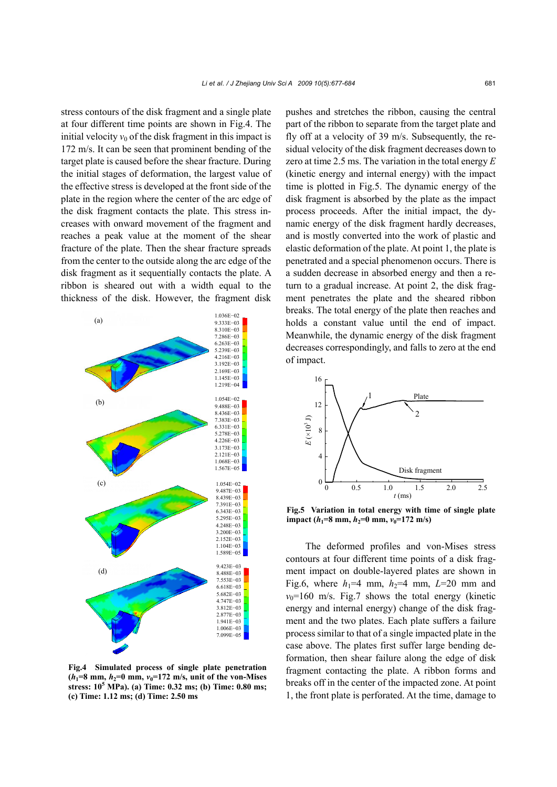stress contours of the disk fragment and a single plate at four different time points are shown in Fig.4. The initial velocity  $v_0$  of the disk fragment in this impact is 172 m/s. It can be seen that prominent bending of the target plate is caused before the shear fracture. During the initial stages of deformation, the largest value of the effective stress is developed at the front side of the plate in the region where the center of the arc edge of the disk fragment contacts the plate. This stress increases with onward movement of the fragment and reaches a peak value at the moment of the shear fracture of the plate. Then the shear fracture spreads from the center to the outside along the arc edge of the disk fragment as it sequentially contacts the plate. A ribbon is sheared out with a width equal to the thickness of the disk. However, the fragment disk



**Fig.4 Simulated process of single plate penetration**  $(h_1=8 \text{ mm}, h_2=0 \text{ mm}, v_0=172 \text{ m/s}, \text{unit of the von-Mises}$ **stress: 105 MPa). (a) Time: 0.32 ms; (b) Time: 0.80 ms; (c) Time: 1.12 ms; (d) Time: 2.50 ms** 

pushes and stretches the ribbon, causing the central part of the ribbon to separate from the target plate and fly off at a velocity of 39 m/s. Subsequently, the residual velocity of the disk fragment decreases down to zero at time 2.5 ms. The variation in the total energy *E* (kinetic energy and internal energy) with the impact time is plotted in Fig.5. The dynamic energy of the disk fragment is absorbed by the plate as the impact process proceeds. After the initial impact, the dynamic energy of the disk fragment hardly decreases, and is mostly converted into the work of plastic and elastic deformation of the plate. At point 1, the plate is penetrated and a special phenomenon occurs. There is a sudden decrease in absorbed energy and then a return to a gradual increase. At point 2, the disk fragment penetrates the plate and the sheared ribbon breaks. The total energy of the plate then reaches and holds a constant value until the end of impact. Meanwhile, the dynamic energy of the disk fragment decreases correspondingly, and falls to zero at the end of impact.



**Fig.5 Variation in total energy with time of single plate**   $\text{impact} (h_1=8 \text{ mm}, h_2=0 \text{ mm}, v_0=172 \text{ m/s})$ 

The deformed profiles and von-Mises stress contours at four different time points of a disk fragment impact on double-layered plates are shown in Fig.6, where  $h_1=4$  mm,  $h_2=4$  mm,  $L=20$  mm and  $v_0$ =160 m/s. Fig.7 shows the total energy (kinetic energy and internal energy) change of the disk fragment and the two plates. Each plate suffers a failure process similar to that of a single impacted plate in the case above. The plates first suffer large bending deformation, then shear failure along the edge of disk fragment contacting the plate. A ribbon forms and breaks off in the center of the impacted zone. At point 1, the front plate is perforated. At the time, damage to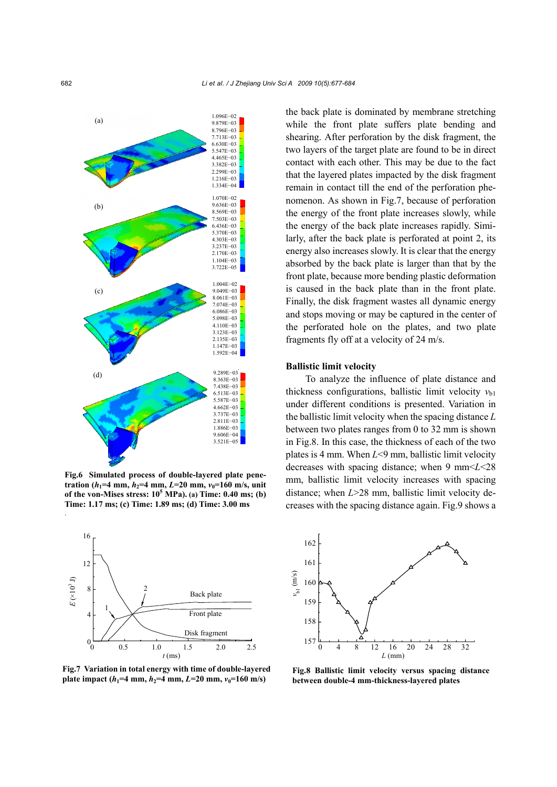

**Fig.6 Simulated process of double-layered plate penetration** ( $h_1$ =4 mm,  $h_2$ =4 mm,  $L$ =20 mm,  $v_0$ =160 m/s, unit of the von-Mises stress:  $10^5$  MPa). (a) Time:  $0.40$  ms; (b) **Time: 1.17 ms; (c) Time: 1.89 ms; (d) Time: 3.00 ms**



**Fig.7 Variation in total energy with time of double-layered plate impact (***h*<sub>1</sub>=4 mm, *h*<sub>2</sub>=4 mm, *L*=20 mm,  $v_0$ =160 m/s)

the back plate is dominated by membrane stretching while the front plate suffers plate bending and shearing. After perforation by the disk fragment, the two layers of the target plate are found to be in direct contact with each other. This may be due to the fact that the layered plates impacted by the disk fragment remain in contact till the end of the perforation phenomenon. As shown in Fig.7, because of perforation the energy of the front plate increases slowly, while the energy of the back plate increases rapidly. Similarly, after the back plate is perforated at point 2, its energy also increases slowly. It is clear that the energy absorbed by the back plate is larger than that by the front plate, because more bending plastic deformation is caused in the back plate than in the front plate. Finally, the disk fragment wastes all dynamic energy and stops moving or may be captured in the center of the perforated hole on the plates, and two plate fragments fly off at a velocity of 24 m/s.

### **Ballistic limit velocity**

To analyze the influence of plate distance and thickness configurations, ballistic limit velocity *v*b1 under different conditions is presented. Variation in the ballistic limit velocity when the spacing distance *L* between two plates ranges from 0 to 32 mm is shown in Fig.8. In this case, the thickness of each of the two plates is 4 mm. When *L*<9 mm, ballistic limit velocity decreases with spacing distance; when 9 mm<*L*<28 mm, ballistic limit velocity increases with spacing distance; when *L*>28 mm, ballistic limit velocity decreases with the spacing distance again. Fig.9 shows a



**Fig.8 Ballistic limit velocity versus spacing distance between double-4 mm-thickness-layered plates**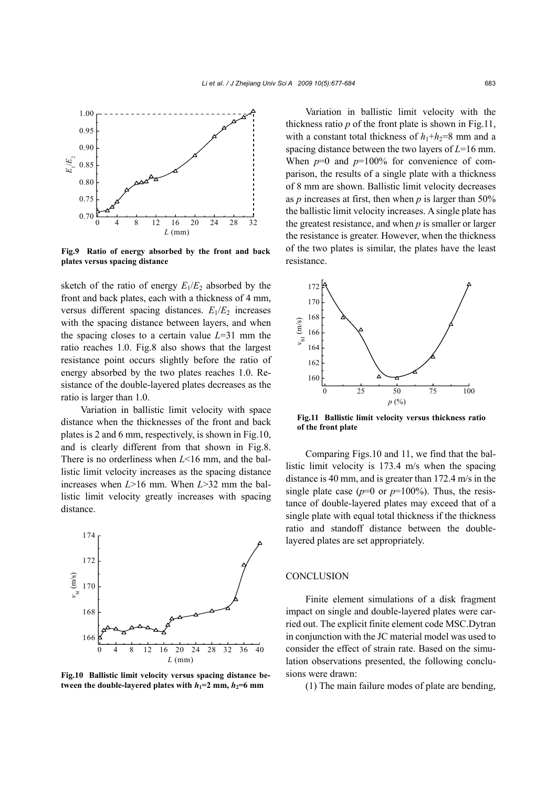

**Fig.9 Ratio of energy absorbed by the front and back plates versus spacing distance**

sketch of the ratio of energy  $E_1/E_2$  absorbed by the front and back plates, each with a thickness of 4 mm, versus different spacing distances.  $E_1/E_2$  increases with the spacing distance between layers, and when the spacing closes to a certain value *L*=31 mm the ratio reaches 1.0. Fig.8 also shows that the largest resistance point occurs slightly before the ratio of energy absorbed by the two plates reaches 1.0. Resistance of the double-layered plates decreases as the ratio is larger than 1.0.

Variation in ballistic limit velocity with space distance when the thicknesses of the front and back plates is 2 and 6 mm, respectively, is shown in Fig.10, and is clearly different from that shown in Fig.8. There is no orderliness when *L*<16 mm, and the ballistic limit velocity increases as the spacing distance increases when *L*>16 mm. When *L*>32 mm the ballistic limit velocity greatly increases with spacing distance.



**Fig.10 Ballistic limit velocity versus spacing distance between the double-layered plates with**  $h_1=2$  **mm,**  $h_2=6$  **mm** 

Variation in ballistic limit velocity with the thickness ratio  $p$  of the front plate is shown in Fig.11, with a constant total thickness of  $h_1+h_2=8$  mm and a spacing distance between the two layers of *L*=16 mm. When  $p=0$  and  $p=100\%$  for convenience of comparison, the results of a single plate with a thickness of 8 mm are shown. Ballistic limit velocity decreases as *p* increases at first, then when *p* is larger than 50% the ballistic limit velocity increases. A single plate has the greatest resistance, and when *p* is smaller or larger the resistance is greater. However, when the thickness of the two plates is similar, the plates have the least resistance.



**Fig.11 Ballistic limit velocity versus thickness ratio of the front plate**

Comparing Figs.10 and 11, we find that the ballistic limit velocity is 173.4 m/s when the spacing distance is 40 mm, and is greater than 172.4 m/s in the single plate case ( $p=0$  or  $p=100\%$ ). Thus, the resistance of double-layered plates may exceed that of a single plate with equal total thickness if the thickness ratio and standoff distance between the doublelayered plates are set appropriately.

## **CONCLUSION**

Finite element simulations of a disk fragment impact on single and double-layered plates were carried out. The explicit finite element code MSC.Dytran in conjunction with the JC material model was used to consider the effect of strain rate. Based on the simulation observations presented, the following conclusions were drawn:

(1) The main failure modes of plate are bending,